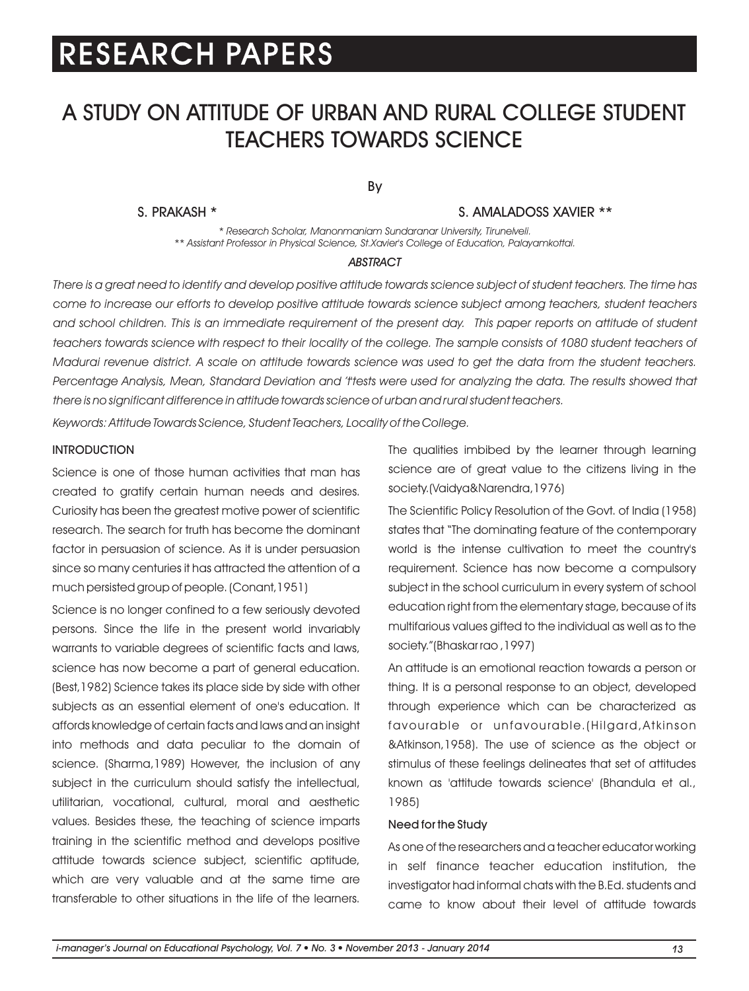## A STUDY ON ATTITUDE OF URBAN AND RURAL COLLEGE STUDENT TEACHERS TOWARDS SCIENCE

By

#### S. PRAKASH \* S. AMALADOSS XAVIER \*\*

*\* Research Scholar, Manonmaniam Sundaranar University, Tirunelveli. \*\* Assistant Professor in Physical Science, St.Xavier's College of Education, Palayamkottai.*

#### *ABSTRACT*

*There is a great need to identify and develop positive attitude towards science subject of student teachers. The time has come to increase our efforts to develop positive attitude towards science subject among teachers, student teachers and school children. This is an immediate requirement of the present day. This paper reports on attitude of student teachers towards science with respect to their locality of the college. The sample consists of 1080 student teachers of Madurai revenue district. A scale on attitude towards science was used to get the data from the student teachers.*  Percentage Analysis, Mean, Standard Deviation and 'ttests were used for analyzing the data. The results showed that *there is no significant difference in attitude towards science of urban and rural student teachers.*

*Keywords: Attitude Towards Science, Student Teachers, Locality of the College.*

#### **INTRODUCTION**

Science is one of those human activities that man has created to gratify certain human needs and desires. Curiosity has been the greatest motive power of scientific research. The search for truth has become the dominant factor in persuasion of science. As it is under persuasion since so many centuries it has attracted the attention of a much persisted group of people. (Conant,1951)

Science is no longer confined to a few seriously devoted persons. Since the life in the present world invariably warrants to variable degrees of scientific facts and laws, science has now become a part of general education. (Best,1982) Science takes its place side by side with other subjects as an essential element of one's education. It affords knowledge of certain facts and laws and an insight into methods and data peculiar to the domain of science. (Sharma,1989) However, the inclusion of any subject in the curriculum should satisfy the intellectual, utilitarian, vocational, cultural, moral and aesthetic values. Besides these, the teaching of science imparts training in the scientific method and develops positive attitude towards science subject, scientific aptitude, which are very valuable and at the same time are transferable to other situations in the life of the learners.

The qualities imbibed by the learner through learning science are of great value to the citizens living in the society.(Vaidya&Narendra,1976)

The Scientific Policy Resolution of the Govt. of India (1958) states that "The dominating feature of the contemporary world is the intense cultivation to meet the country's requirement. Science has now become a compulsory subject in the school curriculum in every system of school education right from the elementary stage, because of its multifarious values gifted to the individual as well as to the society."(Bhaskar rao ,1997)

An attitude is an emotional reaction towards a person or thing. It is a personal response to an object, developed through experience which can be characterized as favourable or unfavourable.(Hilgard,Atkinson &Atkinson,1958). The use of science as the object or stimulus of these feelings delineates that set of attitudes known as 'attitude towards science' (Bhandula et al., 1985)

#### Need for the Study

As one of the researchers and a teacher educator working in self finance teacher education institution, the investigator had informal chats with the B.Ed. students and came to know about their level of attitude towards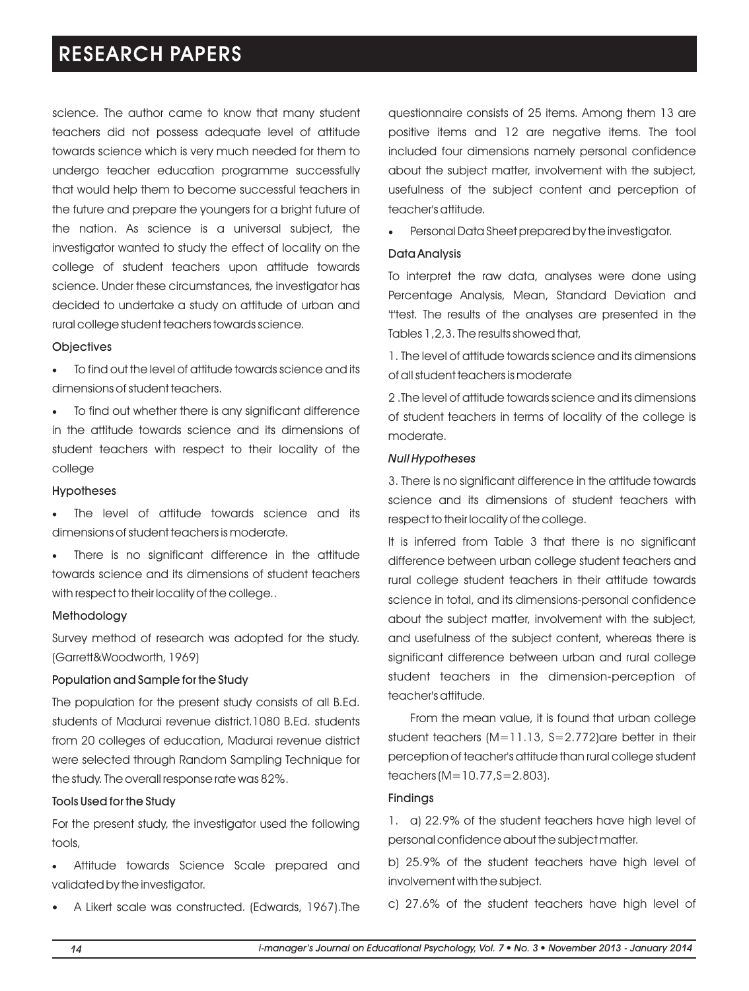science. The author came to know that many student teachers did not possess adequate level of attitude towards science which is very much needed for them to undergo teacher education programme successfully that would help them to become successful teachers in the future and prepare the youngers for a bright future of the nation. As science is a universal subject, the investigator wanted to study the effect of locality on the college of student teachers upon attitude towards science. Under these circumstances, the investigator has decided to undertake a study on attitude of urban and rural college student teachers towards science.

#### **Objectives**

·To find out the level of attitude towards science and its dimensions of student teachers.

·To find out whether there is any significant difference in the attitude towards science and its dimensions of student teachers with respect to their locality of the college

#### Hypotheses

·The level of attitude towards science and its dimensions of student teachers is moderate.

·There is no significant difference in the attitude towards science and its dimensions of student teachers with respect to their locality of the college..

#### Methodology

Survey method of research was adopted for the study. (Garrett&Woodworth, 1969)

#### Population and Sample for the Study

The population for the present study consists of all B.Ed. students of Madurai revenue district.1080 B.Ed. students from 20 colleges of education, Madurai revenue district were selected through Random Sampling Technique for the study. The overall response rate was 82%.

#### Tools Used for the Study

For the present study, the investigator used the following tools,

·Attitude towards Science Scale prepared and validated by the investigator.

A Likert scale was constructed. (Edwards, 1967).The

questionnaire consists of 25 items. Among them 13 are positive items and 12 are negative items. The tool included four dimensions namely personal confidence about the subject matter, involvement with the subject, usefulness of the subject content and perception of teacher's attitude.

Personal Data Sheet prepared by the investigator.

#### Data Analysis

To interpret the raw data, analyses were done using Percentage Analysis, Mean, Standard Deviation and 't'test. The results of the analyses are presented in the Tables 1,2,3. The results showed that,

1. The level of attitude towards science and its dimensions of all student teachers is moderate

2 .The level of attitude towards science and its dimensions of student teachers in terms of locality of the college is moderate.

#### *Null Hypotheses*

3. There is no significant difference in the attitude towards science and its dimensions of student teachers with respect to their locality of the college.

It is inferred from Table 3 that there is no significant difference between urban college student teachers and rural college student teachers in their attitude towards science in total, and its dimensions-personal confidence about the subject matter, involvement with the subject, and usefulness of the subject content, whereas there is significant difference between urban and rural college student teachers in the dimension-perception of teacher's attitude.

From the mean value, it is found that urban college student teachers (M=11.13, S=2.772)are better in their perception of teacher's attitude than rural college student teachers (M=10.77,S=2.803).

#### Findings

1. a) 22.9% of the student teachers have high level of personal confidence about the subject matter.

b) 25.9% of the student teachers have high level of involvement with the subject.

c) 27.6% of the student teachers have high level of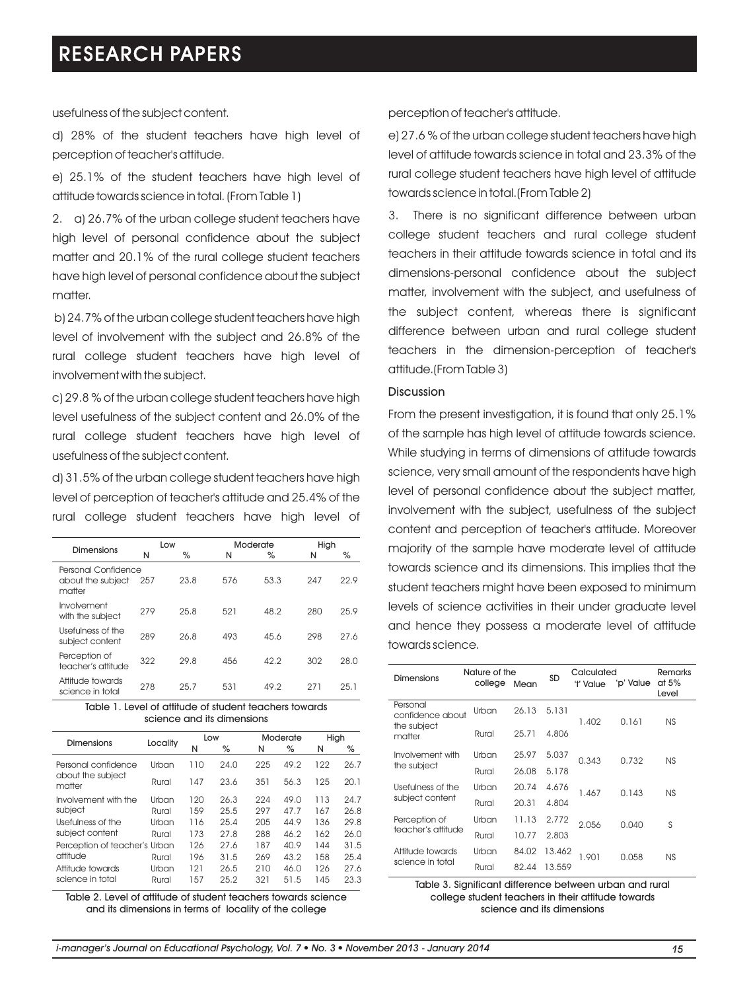usefulness of the subject content.

d) 28% of the student teachers have high level of perception of teacher's attitude.

e) 25.1% of the student teachers have high level of attitude towards science in total. (From Table 1)

2. a) 26.7% of the urban college student teachers have high level of personal confidence about the subject matter and 20.1% of the rural college student teachers have high level of personal confidence about the subject matter.

b) 24.7% of the urban college student teachers have high level of involvement with the subject and 26.8% of the rural college student teachers have high level of involvement with the subject.

c) 29.8 % of the urban college student teachers have high level usefulness of the subject content and 26.0% of the rural college student teachers have high level of usefulness of the subject content.

d) 31.5% of the urban college student teachers have high level of perception of teacher's attitude and 25.4% of the rural college student teachers have high level of

|                                                    | Low |      |     | Moderate | High |      |
|----------------------------------------------------|-----|------|-----|----------|------|------|
| Dimensions                                         | N   | $\%$ | N   | $\%$     | N    | $\%$ |
| Personal Confidence<br>about the subject<br>matter | 257 | 23.8 | 576 | 53.3     | 247  | 22.9 |
| Involvement<br>with the subject                    | 279 | 25.8 | 521 | 48.2     | 280  | 25.9 |
| Usefulness of the<br>subject content               | 289 | 26.8 | 493 | 45.6     | 298  | 27.6 |
| Perception of<br>teacher's attitude                | 322 | 29.8 | 456 | 42.2     | 302  | 28.0 |
| Attitude towards<br>science in total               | 278 | 25.7 | 531 | 49.2     | 271  | 25.1 |

#### Table 1. Level of attitude of student teachers towards science and its dimensions

|                               | Low      |      | Moderate |      | High |      |
|-------------------------------|----------|------|----------|------|------|------|
|                               | N        | %    | N        | $\%$ | N    | ℅    |
| Urban                         | 110      | 24.0 | 225      | 49.2 | 122  | 26.7 |
| Rural                         | 147      | 23.6 | 351      | 56.3 | 125  | 20.1 |
| Urban                         | 120      | 26.3 | 224      | 49.0 | 113  | 24.7 |
| Rural                         | 159      | 25.5 | 297      | 47.7 | 167  | 26.8 |
| Urban                         | 116      | 25.4 | 205      | 44.9 | 136  | 29.8 |
| Rural                         | 173      | 27.8 | 288      | 46.2 | 162  | 26.0 |
| Perception of teacher's Urban | 126      | 27.6 | 187      | 40.9 | 144  | 31.5 |
| Rural                         | 196      | 31.5 | 269      | 43.2 | 158  | 25.4 |
| Urban                         | 121      | 26.5 | 210      | 46.0 | 126  | 27.6 |
| Rural                         | 157      | 25.2 | 321      | 51.5 | 145  | 23.3 |
|                               | Locality |      |          |      |      |      |

Table 2. Level of attitude of student teachers towards science and its dimensions in terms of locality of the college

perception of teacher's attitude.

e) 27.6 % of the urban college student teachers have high level of attitude towards science in total and 23.3% of the rural college student teachers have high level of attitude towards science in total.(From Table 2)

3. There is no significant difference between urban college student teachers and rural college student teachers in their attitude towards science in total and its dimensions-personal confidence about the subject matter, involvement with the subject, and usefulness of the subject content, whereas there is significant difference between urban and rural college student teachers in the dimension-perception of teacher's attitude.(From Table 3)

#### Discussion

From the present investigation, it is found that only 25.1% of the sample has high level of attitude towards science. While studying in terms of dimensions of attitude towards science, very small amount of the respondents have high level of personal confidence about the subject matter, involvement with the subject, usefulness of the subject content and perception of teacher's attitude. Moreover majority of the sample have moderate level of attitude towards science and its dimensions. This implies that the student teachers might have been exposed to minimum levels of science activities in their under graduate level and hence they possess a moderate level of attitude towards science.

| Dimensions                                            | Nature of the<br>college | Mean  | SD     | Calculated<br>'t' Value | 'p' Value | Remarks<br>at 5%<br>Level |
|-------------------------------------------------------|--------------------------|-------|--------|-------------------------|-----------|---------------------------|
| Personal<br>confidence about<br>the subject<br>matter | Urban                    | 26.13 | 5.131  | 1.402                   | 0.161     | NS                        |
|                                                       | Rural                    | 25.71 | 4.806  |                         |           |                           |
| Involvement with<br>the subject                       | Urban                    | 25.97 | 5.037  | 0.343                   | 0.732     | NS                        |
|                                                       | Rural                    | 26.08 | 5.178  |                         |           |                           |
| Usefulness of the<br>subject content                  | Urban                    | 20.74 | 4.676  | 1.467                   | 0.143     | NS                        |
|                                                       | Rural                    | 20.31 | 4.804  |                         |           |                           |
| Perception of<br>teacher's attitude                   | Urban                    | 11.13 | 2.772  | 2.056                   | 0.040     | S                         |
|                                                       | Rural                    | 10.77 | 2.803  |                         |           |                           |
| Attitude towards<br>science in total                  | Urban                    | 84.02 | 13.462 | 1.901                   | 0.058     | <b>NS</b>                 |
|                                                       | Rural                    | 82.44 | 13.559 |                         |           |                           |

Table 3. Significant difference between urban and rural college student teachers in their attitude towards science and its dimensions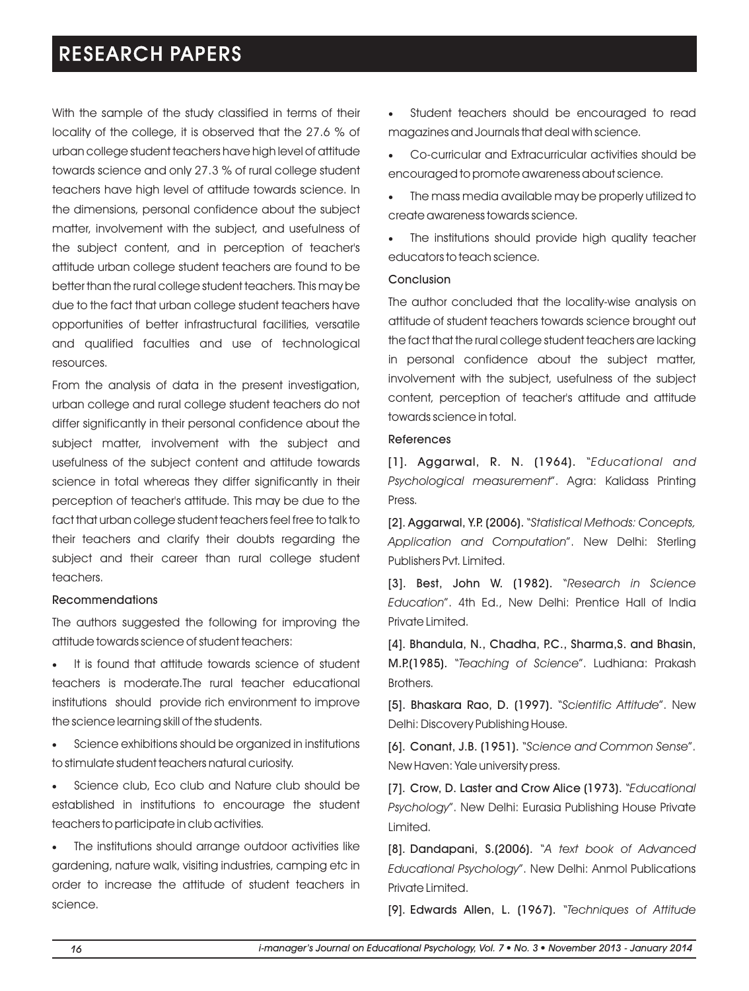With the sample of the study classified in terms of their locality of the college, it is observed that the 27.6 % of urban college student teachers have high level of attitude towards science and only 27.3 % of rural college student teachers have high level of attitude towards science. In the dimensions, personal confidence about the subject matter, involvement with the subject, and usefulness of the subject content, and in perception of teacher's attitude urban college student teachers are found to be better than the rural college student teachers. This may be due to the fact that urban college student teachers have opportunities of better infrastructural facilities, versatile and qualified faculties and use of technological resources.

From the analysis of data in the present investigation, urban college and rural college student teachers do not differ significantly in their personal confidence about the subject matter, involvement with the subject and usefulness of the subject content and attitude towards science in total whereas they differ significantly in their perception of teacher's attitude. This may be due to the fact that urban college student teachers feel free to talk to their teachers and clarify their doubts regarding the subject and their career than rural college student teachers.

#### Recommendations

The authors suggested the following for improving the attitude towards science of student teachers:

It is found that attitude towards science of student teachers is moderate.The rural teacher educational institutions should provide rich environment to improve the science learning skill of the students.

·Science exhibitions should be organized in institutions to stimulate student teachers natural curiosity.

·Science club, Eco club and Nature club should be established in institutions to encourage the student teachers to participate in club activities.

·The institutions should arrange outdoor activities like gardening, nature walk, visiting industries, camping etc in order to increase the attitude of student teachers in science.

·Student teachers should be encouraged to read magazines and Journals that deal with science.

·Co-curricular and Extracurricular activities should be encouraged to promote awareness about science.

The mass media available may be properly utilized to create awareness towards science.

The institutions should provide high quality teacher educators to teach science.

#### Conclusion

The author concluded that the locality-wise analysis on attitude of student teachers towards science brought out the fact that the rural college student teachers are lacking in personal confidence about the subject matter, involvement with the subject, usefulness of the subject content, perception of teacher's attitude and attitude towards science in total.

#### References

[1]. Aggarwal, R. N. (1964). "*Educational and Psychological measurement*". Agra: Kalidass Printing Press.

[2]. Aggarwal, Y.P. (2006). "*Statistical Methods: Concepts, Application and Computation*". New Delhi: Sterling Publishers Pvt. Limited.

[3]. Best, John W. (1982). "*Research in Science Education*". 4th Ed., New Delhi: Prentice Hall of India Private Limited.

[4]. Bhandula, N., Chadha, P.C., Sharma,S. and Bhasin, M.P.(1985). "*Teaching of Science*". Ludhiana: Prakash Brothers.

[5]. Bhaskara Rao, D. (1997). "*Scientific Attitude*". New Delhi: Discovery Publishing House.

[6]. Conant, J.B. (1951). "*Science and Common Sense*". New Haven: Yale university press.

[7]. Crow, D. Laster and Crow Alice (1973). "*Educational Psychology*". New Delhi: Eurasia Publishing House Private Limited.

[8]. Dandapani, S.(2006). "*A text book of Advanced Educational Psychology*". New Delhi: Anmol Publications Private Limited.

[9]. Edwards Allen, L. (1967). "*Techniques of Attitude*